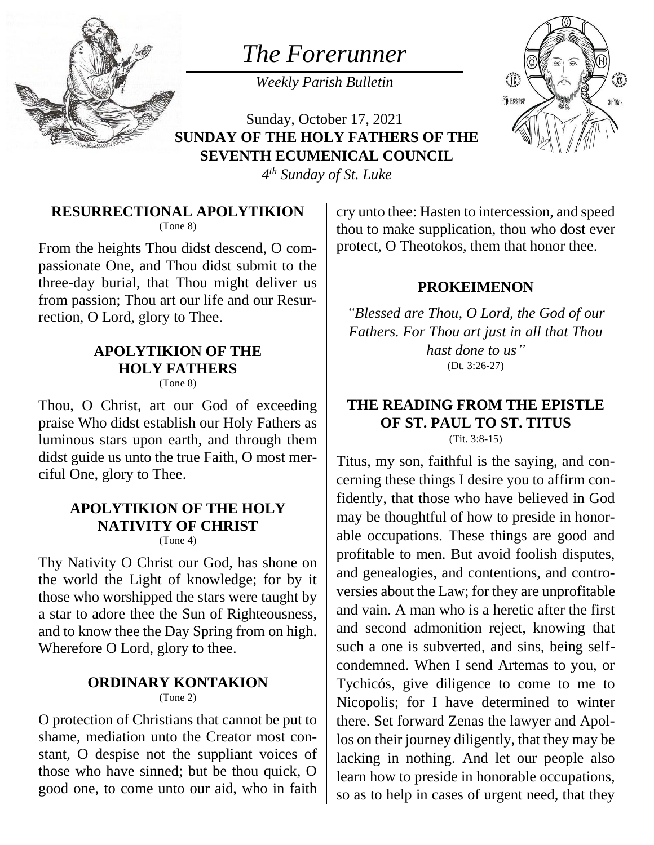

# *The Forerunner*

*Weekly Parish Bulletin*



Sunday, October 17, 2021 **SUNDAY OF THE HOLY FATHERS OF THE SEVENTH ECUMENICAL COUNCIL**

*4 th Sunday of St. Luke*

### **RESURRECTIONAL APOLYTIKION**

(Tone 8)

From the heights Thou didst descend, O compassionate One, and Thou didst submit to the three-day burial, that Thou might deliver us from passion; Thou art our life and our Resurrection, O Lord, glory to Thee.

#### **APOLYTIKION OF THE HOLY FATHERS** (Tone 8)

Thou, O Christ, art our God of exceeding praise Who didst establish our Holy Fathers as luminous stars upon earth, and through them didst guide us unto the true Faith, O most merciful One, glory to Thee.

# **APOLYTIKION OF THE HOLY NATIVITY OF CHRIST**

(Tone 4)

Thy Nativity O Christ our God, has shone on the world the Light of knowledge; for by it those who worshipped the stars were taught by a star to adore thee the Sun of Righteousness, and to know thee the Day Spring from on high. Wherefore O Lord, glory to thee.

# **ORDINARY KONTAKION**

(Tone 2)

O protection of Christians that cannot be put to shame, mediation unto the Creator most constant, O despise not the suppliant voices of those who have sinned; but be thou quick, O good one, to come unto our aid, who in faith

cry unto thee: Hasten to intercession, and speed thou to make supplication, thou who dost ever protect, O Theotokos, them that honor thee.

## **PROKEIMENON**

*"Blessed are Thou, O Lord, the God of our Fathers. For Thou art just in all that Thou hast done to us"* (Dt. 3:26-27)

#### **THE READING FROM THE EPISTLE OF ST. PAUL TO ST. TITUS** (Tit. 3:8-15)

Titus, my son, faithful is the saying, and concerning these things I desire you to affirm confidently, that those who have believed in God may be thoughtful of how to preside in honorable occupations. These things are good and profitable to men. But avoid foolish disputes, and genealogies, and contentions, and controversies about the Law; for they are unprofitable and vain. A man who is a heretic after the first and second admonition reject, knowing that such a one is subverted, and sins, being selfcondemned. When I send Artemas to you, or Tychicós, give diligence to come to me to Nicopolis; for I have determined to winter there. Set forward Zenas the lawyer and Apollos on their journey diligently, that they may be lacking in nothing. And let our people also learn how to preside in honorable occupations, so as to help in cases of urgent need, that they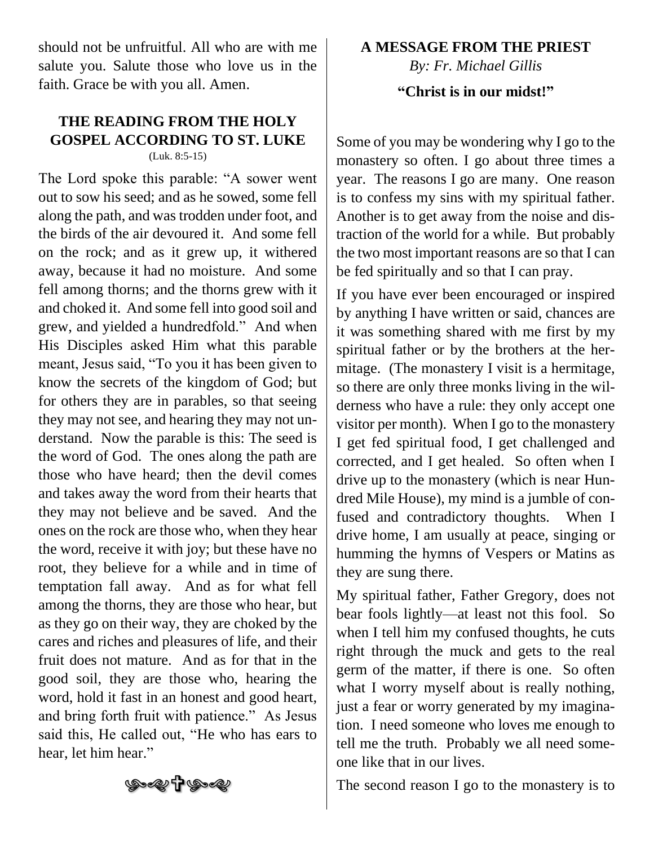should not be unfruitful. All who are with me salute you. Salute those who love us in the faith. Grace be with you all. Amen.

## **THE READING FROM THE HOLY GOSPEL ACCORDING TO ST. LUKE** (Luk. 8:5-15)

The Lord spoke this parable: "A sower went out to sow his seed; and as he sowed, some fell along the path, and was trodden under foot, and the birds of the air devoured it. And some fell on the rock; and as it grew up, it withered away, because it had no moisture. And some fell among thorns; and the thorns grew with it and choked it. And some fell into good soil and grew, and yielded a hundredfold." And when His Disciples asked Him what this parable meant, Jesus said, "To you it has been given to know the secrets of the kingdom of God; but for others they are in parables, so that seeing they may not see, and hearing they may not understand. Now the parable is this: The seed is the word of God. The ones along the path are those who have heard; then the devil comes and takes away the word from their hearts that they may not believe and be saved. And the ones on the rock are those who, when they hear the word, receive it with joy; but these have no root, they believe for a while and in time of temptation fall away. And as for what fell among the thorns, they are those who hear, but as they go on their way, they are choked by the cares and riches and pleasures of life, and their fruit does not mature. And as for that in the good soil, they are those who, hearing the word, hold it fast in an honest and good heart, and bring forth fruit with patience." As Jesus said this, He called out, "He who has ears to hear, let him hear."

### **A MESSAGE FROM THE PRIEST** *By: Fr. Michael Gillis*

#### **"Christ is in our midst!"**

Some of you may be wondering why I go to the monastery so often. I go about three times a year. The reasons I go are many. One reason is to confess my sins with my spiritual father. Another is to get away from the noise and distraction of the world for a while. But probably the two most important reasons are so that I can be fed spiritually and so that I can pray.

If you have ever been encouraged or inspired by anything I have written or said, chances are it was something shared with me first by my spiritual father or by the brothers at the hermitage. (The monastery I visit is a hermitage, so there are only three monks living in the wilderness who have a rule: they only accept one visitor per month). When I go to the monastery I get fed spiritual food, I get challenged and corrected, and I get healed. So often when I drive up to the monastery (which is near Hundred Mile House), my mind is a jumble of confused and contradictory thoughts. When I drive home, I am usually at peace, singing or humming the hymns of Vespers or Matins as they are sung there.

My spiritual father, Father Gregory, does not bear fools lightly—at least not this fool. So when I tell him my confused thoughts, he cuts right through the muck and gets to the real germ of the matter, if there is one. So often what I worry myself about is really nothing, just a fear or worry generated by my imagination. I need someone who loves me enough to tell me the truth. Probably we all need someone like that in our lives.



The second reason I go to the monastery is to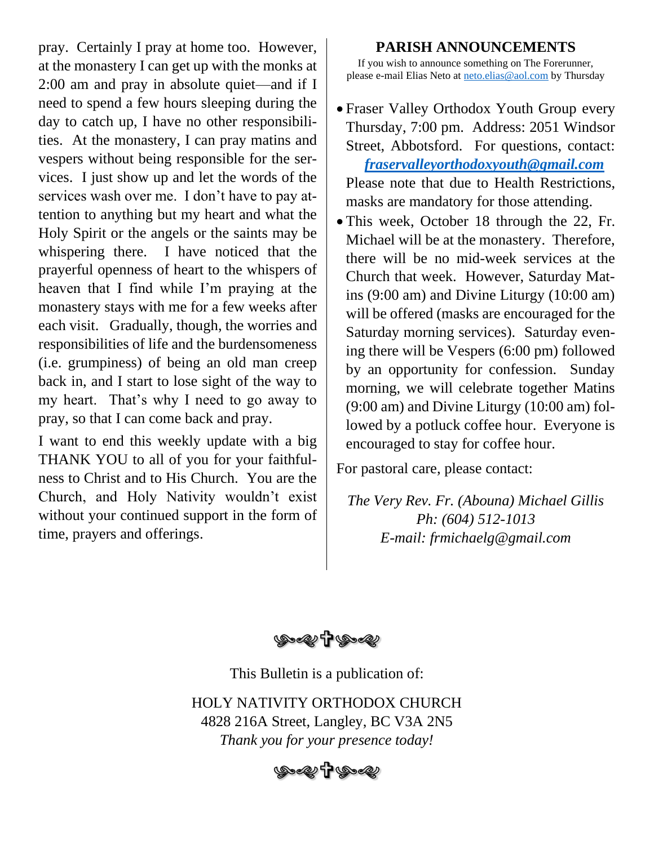pray. Certainly I pray at home too. However, at the monastery I can get up with the monks at 2:00 am and pray in absolute quiet—and if I need to spend a few hours sleeping during the day to catch up, I have no other responsibilities. At the monastery, I can pray matins and vespers without being responsible for the services. I just show up and let the words of the services wash over me. I don't have to pay attention to anything but my heart and what the Holy Spirit or the angels or the saints may be whispering there. I have noticed that the prayerful openness of heart to the whispers of heaven that I find while I'm praying at the monastery stays with me for a few weeks after each visit. Gradually, though, the worries and responsibilities of life and the burdensomeness (i.e. grumpiness) of being an old man creep back in, and I start to lose sight of the way to my heart. That's why I need to go away to pray, so that I can come back and pray.

I want to end this weekly update with a big THANK YOU to all of you for your faithfulness to Christ and to His Church. You are the Church, and Holy Nativity wouldn't exist without your continued support in the form of time, prayers and offerings.

#### **PARISH ANNOUNCEMENTS**

If you wish to announce something on The Forerunner, please e-mail Elias Neto at [neto.elias@aol.com](mailto:neto.elias@aol.com) by Thursday

- Fraser Valley Orthodox Youth Group every Thursday, 7:00 pm. Address: 2051 Windsor Street, Abbotsford. For questions, contact:  *[fraservalleyorthodoxyouth@gmail.com](mailto:fraservalleyorthodoxyouth@gmail.com)* Please note that due to Health Restrictions, masks are mandatory for those attending.
- This week, October 18 through the 22, Fr. Michael will be at the monastery. Therefore, there will be no mid-week services at the Church that week. However, Saturday Matins (9:00 am) and Divine Liturgy (10:00 am) will be offered (masks are encouraged for the Saturday morning services). Saturday evening there will be Vespers (6:00 pm) followed by an opportunity for confession. Sunday morning, we will celebrate together Matins (9:00 am) and Divine Liturgy (10:00 am) followed by a potluck coffee hour. Everyone is encouraged to stay for coffee hour.

For pastoral care, please contact:

*The Very Rev. Fr. (Abouna) Michael Gillis Ph: (604) 512-1013 E-mail: frmichaelg@gmail.com*

**(Dell'Propel)** 

This Bulletin is a publication of:

HOLY NATIVITY ORTHODOX CHURCH 4828 216A Street, Langley, BC V3A 2N5 *Thank you for your presence today!*

**७,ంబ†ড,**